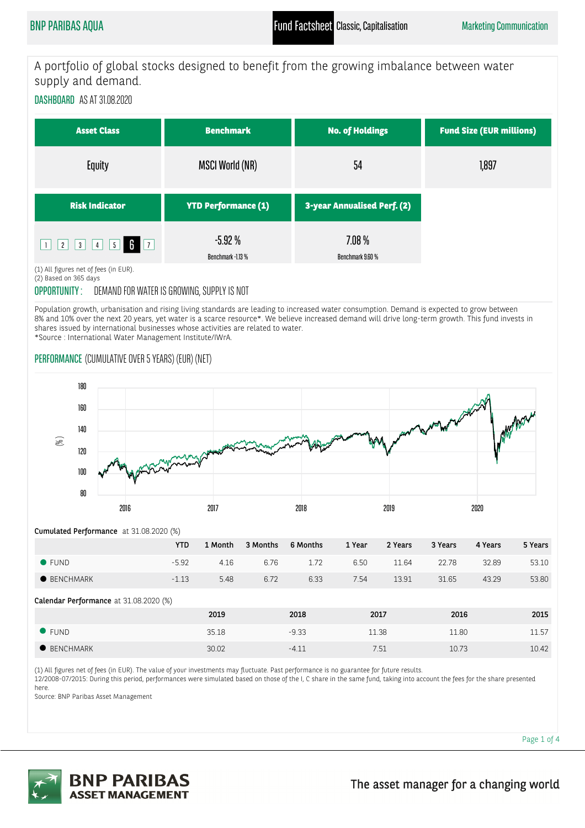A portfolio of global stocks designed to benefit from the growing imbalance between water supply and demand.

DASHBOARD AS AT 31.08.2020

| <b>Asset Class</b>    | <b>Benchmark</b>              | <b>No. of Holdings</b>       | <b>Fund Size (EUR millions)</b> |
|-----------------------|-------------------------------|------------------------------|---------------------------------|
| Equity                | <b>MSCI World (NR)</b>        | 54                           | 1,897                           |
| <b>Risk Indicator</b> | <b>YTD Performance (1)</b>    | 3-year Annualised Perf. (2)  |                                 |
| 2 3 4 5 7             | $-5.92%$<br>Benchmark -1.13 % | $7.08\%$<br>Benchmark 9.60 % |                                 |

(1) All figures net of fees (in EUR). (2) Based on 365 days

# OPPORTUNITY : DEMAND FOR WATER IS GROWING, SUPPLY IS NOT

Population growth, urbanisation and rising living standards are leading to increased water consumption. Demand is expected to grow between 8% and 10% over the next 20 years, yet water is a scarce resource\*. We believe increased demand will drive long-term growth. This fund invests in shares issued by international businesses whose activities are related to water. \*Source : International Water Management Institute/IWrA.

## PERFORMANCE (CUMULATIVE OVER 5 YEARS) (EUR) (NET)



Cumulated Performance at 31.08.2020 (%)

|                     | YTD.    | 1 Month | 3 Months | 6 Months | 1 Year | 2 Years | 3 Years | 4 Years | 5 Years |
|---------------------|---------|---------|----------|----------|--------|---------|---------|---------|---------|
| $\bullet$ FUND      | -592    | 4.16    | 6.76     | 1.72     | 6.50   | 11.64   | 22.78   | 32.89   | 53.10   |
| $\bullet$ BENCHMARK | $-1.13$ | 5.48    | 6.72     | 6.33     | 7.54   | 13.91   | 31.65   | 43.29   | 53.80   |

Calendar Performance at 31.08.2020 (%)

|                  | 2019  | 2018    | 2017  | 2016  | 2015          |
|------------------|-------|---------|-------|-------|---------------|
| FUND             | 35.18 | $-9.33$ | 11.38 | 11.80 | 11 57<br>⊥⊥.J |
| <b>BENCHMARK</b> | 30.02 | $-4.1.$ | 7.51  | 10.73 | 10.42         |

(1) All figures net of fees (in EUR). The value of your investments may fluctuate. Past performance is no guarantee for future results.

12/2008-07/2015: During this period, performances were simulated based on those of the I, C share in the same fund, taking into account the fees for the share presented here.

Source: BNP Paribas Asset Management

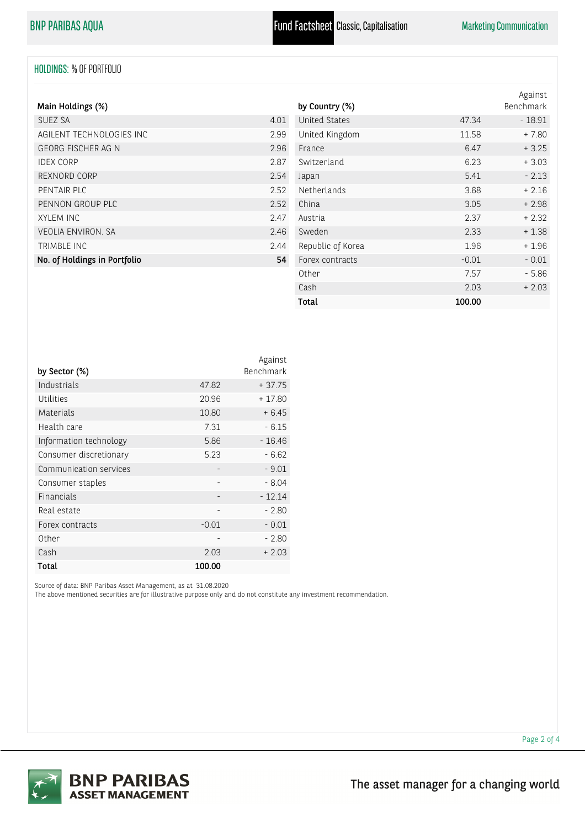## HOLDINGS: % OF PORTFOLIO

| Main Holdings (%)            |      |
|------------------------------|------|
| SUEZ SA                      | 4.01 |
| AGILENT TECHNOLOGIES INC     | 2.99 |
| GEORG FISCHER AG N           | 2.96 |
| <b>IDEX CORP</b>             | 287  |
| REXNORD CORP                 | 2.54 |
| PENTAIR PLC                  | 2.52 |
| PENNON GROUP PLC             | 2.52 |
| <b>XYLEM INC</b>             | 247  |
| <b>VEOLIA ENVIRON, SA</b>    | 246  |
| TRIMBLE INC                  | 244  |
| No. of Holdings in Portfolio | 54   |

| by Country (%)       |         | Against<br>Benchmark |
|----------------------|---------|----------------------|
| <b>United States</b> | 47.34   | $-18.91$             |
| United Kingdom       | 11.58   | $+7.80$              |
| France               | 6.47    | $+3.25$              |
| Switzerland          | 6.23    | $+3.03$              |
| Japan                | 5.41    | $-2.13$              |
| Netherlands          | 3.68    | $+2.16$              |
| China                | 3.05    | $+2.98$              |
| Austria              | 2.37    | $+2.32$              |
| Sweden               | 2.33    | $+1.38$              |
| Republic of Korea    | 1.96    | $+1.96$              |
| Forex contracts      | $-0.01$ | $-0.01$              |
| Other                | 7.57    | $-5.86$              |
| Cash                 | 2.03    | $+2.03$              |
| Total                | 100.00  |                      |

|                        |                          | Against   |
|------------------------|--------------------------|-----------|
| by Sector (%)          |                          | Benchmark |
| Industrials            | 47.82                    | $+37.75$  |
| Utilities              | 20.96                    | $+17.80$  |
| Materials              | 10.80                    | $+6.45$   |
| Health care            | 7.31                     | $-6.15$   |
| Information technology | 5.86                     | $-16.46$  |
| Consumer discretionary | 5.23                     | $-6.62$   |
| Communication services |                          | $-9.01$   |
| Consumer staples       |                          | $-8.04$   |
| Financials             | -                        | $-12.14$  |
| Real estate            | $\overline{\phantom{0}}$ | $-2.80$   |
| Forex contracts        | $-0.01$                  | $-0.01$   |
| Other                  |                          | - 2.80    |
| Cash                   | 2.03                     | $+2.03$   |
| Total                  | 100.00                   |           |

Source of data: BNP Paribas Asset Management, as at 31.08.2020

The above mentioned securities are for illustrative purpose only and do not constitute any investment recommendation.



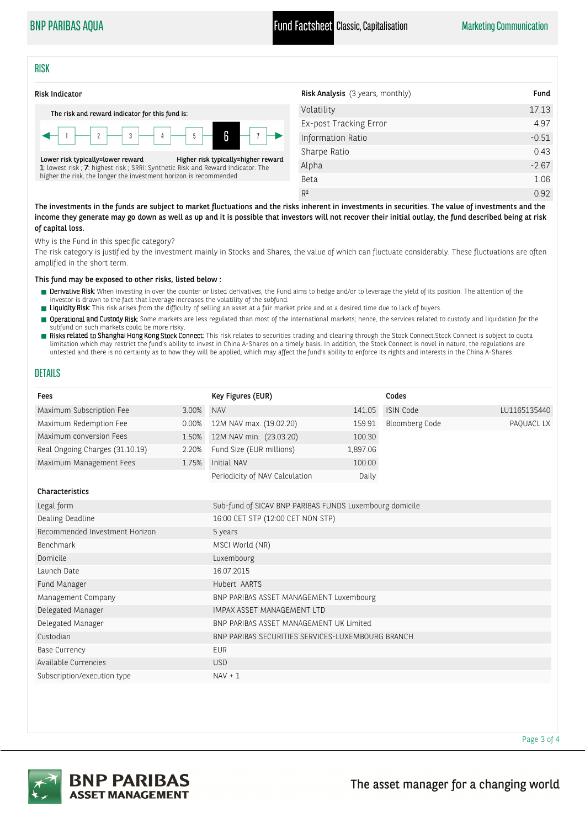BNP PARIBAS AQUA **Fund Factsheet** Classic, Capitalisation Marketing Communication

### **RISK**



| <b>Risk Analysis</b> (3 years, monthly) | Fund    |
|-----------------------------------------|---------|
| Volatility                              | 17.13   |
| Ex-post Tracking Error                  | 4.97    |
| Information Ratio                       | $-0.51$ |
| Sharpe Ratio                            | 0.43    |
| Alpha                                   | $-2.67$ |
| <b>Beta</b>                             | 1.06    |
| R <sup>2</sup>                          | 0.92    |

The investments in the funds are subject to market fluctuations and the risks inherent in investments in securities. The value of investments and the income they generate may go down as well as up and it is possible that investors will not recover their initial outlay, the fund described being at risk of capital loss.

Why is the Fund in this specific category?

The risk category is justified by the investment mainly in Stocks and Shares, the value of which can fluctuate considerably. These fluctuations are often amplified in the short term.

This fund may be exposed to other risks, listed below :

- Perivative Risk: When investing in over the counter or listed derivatives, the Fund aims to hedge and/or to leverage the yield of its position. The attention of the investor is drawn to the fact that leverage increases the volatility of the subfund.
- **The Liquidity Risk**: This risk arises from the difficulty of selling an asset at a fair market price and at a desired time due to lack of buyers.
- **Derational and Custody Risk**: Some markets are less regulated than most of the international markets; hence, the services related to custody and liquidation for the subfund on such markets could be more risky.
- Risks related to Shanghai Hong Kong Stock Connect: This risk relates to securities trading and clearing through the Stock Connect.Stock Connect is subject to quota limitation which may restrict the fund's ability to invest in China A-Shares on a timely basis. In addition, the Stock Connect is novel in nature, the regulations are untested and there is no certainty as to how they will be applied, which may affect the fund's ability to enforce its rights and interests in the China A-Shares.

## DETAILS

| <b>NAV</b><br>12M NAV max. (19.02.20)             | 141.05                  | <b>ISIN Code</b>      | LU1165135440                                            |  |
|---------------------------------------------------|-------------------------|-----------------------|---------------------------------------------------------|--|
|                                                   |                         |                       |                                                         |  |
|                                                   | 159.91                  | <b>Bloomberg Code</b> | PAQUACL LX                                              |  |
|                                                   |                         |                       |                                                         |  |
| Fund Size (EUR millions)                          |                         |                       |                                                         |  |
| Initial NAV                                       | 100.00                  |                       |                                                         |  |
| Periodicity of NAV Calculation                    | Daily                   |                       |                                                         |  |
|                                                   |                         |                       |                                                         |  |
|                                                   |                         |                       |                                                         |  |
| 16:00 CET STP (12:00 CET NON STP)                 |                         |                       |                                                         |  |
| 5 years                                           |                         |                       |                                                         |  |
| MSCI World (NR)                                   |                         |                       |                                                         |  |
| Luxembourg                                        |                         |                       |                                                         |  |
| 16.07.2015                                        |                         |                       |                                                         |  |
| Hubert AARTS                                      |                         |                       |                                                         |  |
| BNP PARIBAS ASSET MANAGEMENT Luxembourg           |                         |                       |                                                         |  |
| IMPAX ASSET MANAGEMENT LTD                        |                         |                       |                                                         |  |
| BNP PARIBAS ASSET MANAGEMENT UK Limited           |                         |                       |                                                         |  |
| BNP PARIBAS SECURITIES SERVICES-LUXEMBOURG BRANCH |                         |                       |                                                         |  |
| <b>EUR</b>                                        |                         |                       |                                                         |  |
| <b>USD</b>                                        |                         |                       |                                                         |  |
| $NAV + 1$                                         |                         |                       |                                                         |  |
|                                                   | 12M NAV min. (23.03.20) | 100.30<br>1,897.06    | Sub-fund of SICAV BNP PARIBAS FUNDS Luxembourg domicile |  |